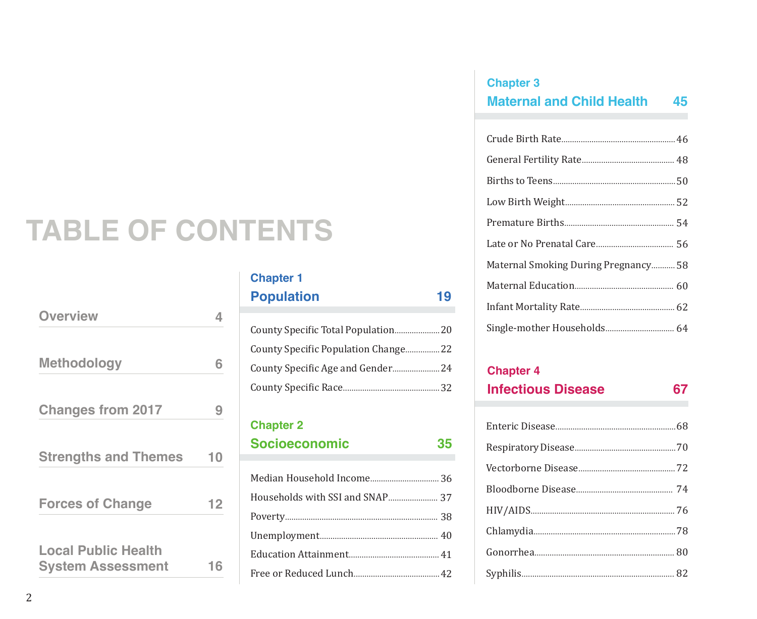# **TABLE OF CONTENTS**

| <b>Overview</b>                                        | 4  |
|--------------------------------------------------------|----|
| <b>Methodology</b>                                     | 6  |
| <b>Changes from 2017</b>                               | 9  |
| <b>Strengths and Themes</b>                            | 10 |
| <b>Forces of Change</b>                                | 12 |
| <b>Local Public Health</b><br><b>System Assessment</b> | 16 |

## **Chapter 1 Population 19**

| County Specific Population Change 22 |  |
|--------------------------------------|--|
|                                      |  |
|                                      |  |

### **Chapter 2**

| <b>Socioeconomic</b> | 35 |
|----------------------|----|
|                      |    |

## **Chapter 3 Maternal and Child Health 45**

| Maternal Smoking During Pregnancy 58 |
|--------------------------------------|
|                                      |
|                                      |
|                                      |

### **Chapter 4**

| <b>Infectious Disease</b> | 67 |
|---------------------------|----|
|                           |    |
|                           |    |
|                           |    |
|                           |    |
|                           |    |
|                           |    |
|                           |    |
|                           |    |
|                           |    |

Syphilis....................................................................... 82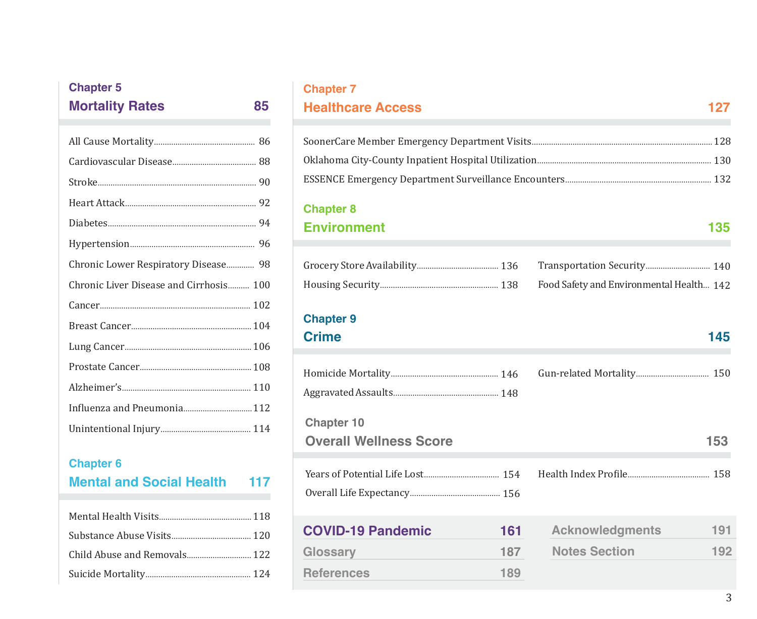## All Cause Mortality............................................... 86 Cardiovascular Disease....................................... 88 Stroke.......................................................................... 90 Heart Attack............................................................. 92 Diabetes..................................................................... 94 Hypertension.......................................................... 96 Chronic Lower Respiratory Disease............. 98 Chronic Liver Disease and Cirrhosis.......... 100 Cancer...................................................................... 102 Breast Cancer........................................................ 104 Lung Cancer........................................................... 106 Prostate Cancer.................................................... 108 Alzheimer's............................................................ 110 Influenza and Pneumonia................................ 112 Unintentional Injury.......................................... 114 **Chapter 5 Mortality Rates 85**

### **Chapter 6 Mental and Social Health 117**

| Child Abuse and Removals 122 |  |
|------------------------------|--|
|                              |  |

### **Chapter 7**

## **Healthcare Access 127**

### **Chapter 8**

## **Environment 135**

|  | Food Safety and Environmental Health 142 |  |
|--|------------------------------------------|--|

## **Chapter 9**

### **Crime** 145

**References**

| <b>Chapter 10</b>               |                               |
|---------------------------------|-------------------------------|
| <b>Overall Wellness Score</b>   | 153                           |
|                                 |                               |
|                                 |                               |
| <b>COVID-19 Pandemic</b><br>161 | 191<br><b>Acknowledgments</b> |
| 187<br>Glossary                 | <b>Notes Section</b><br>192   |
|                                 |                               |

**189**

### 3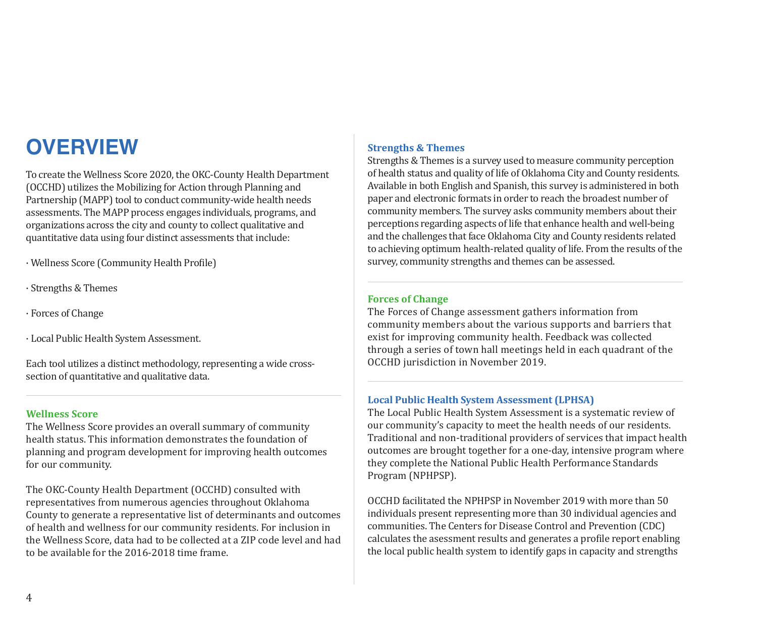## **OVERVIEW**

To create the Wellness Score 2020, the OKC-County Health Department (OCCHD) utilizes the Mobilizing for Action through Planning and Partnership (MAPP) tool to conduct community-wide health needs assessments. The MAPP process engages individuals, programs, and organizations across the city and county to collect qualitative and quantitative data using four distinct assessments that include:

· Wellness Score (Community Health Profile)

- · Strengths & Themes
- · Forces of Change
- · Local Public Health System Assessment.

Each tool utilizes a distinct methodology, representing a wide crosssection of quantitative and qualitative data.

### **Wellness Score**

The Wellness Score provides an overall summary of community health status. This information demonstrates the foundation of planning and program development for improving health outcomes for our community.

The OKC-County Health Department (OCCHD) consulted with representatives from numerous agencies throughout Oklahoma County to generate a representative list of determinants and outcomes of health and wellness for our community residents. For inclusion in the Wellness Score, data had to be collected at a ZIP code level and had to be available for the 2016-2018 time frame.

### **Strengths & Themes**

Strengths & Themes is a survey used to measure community perception of health status and quality of life of Oklahoma City and County residents. Available in both English and Spanish, this survey is administered in both paper and electronic formats in order to reach the broadest number of community members. The survey asks community members about their perceptions regarding aspects of life that enhance health and well-being and the challenges that face Oklahoma City and County residents related to achieving optimum health-related quality of life. From the results of the survey, community strengths and themes can be assessed.

### **Forces of Change**

The Forces of Change assessment gathers information from community members about the various supports and barriers that exist for improving community health. Feedback was collected through a series of town hall meetings held in each quadrant of the OCCHD jurisdiction in November 2019.

#### **Local Public Health System Assessment (LPHSA)**

The Local Public Health System Assessment is a systematic review of our community's capacity to meet the health needs of our residents. Traditional and non-traditional providers of services that impact health outcomes are brought together for a one-day, intensive program where they complete the National Public Health Performance Standards Program (NPHPSP).

OCCHD facilitated the NPHPSP in November 2019 with more than 50 individuals present representing more than 30 individual agencies and communities. The Centers for Disease Control and Prevention (CDC) calculates the asessment results and generates a profile report enabling the local public health system to identify gaps in capacity and strengths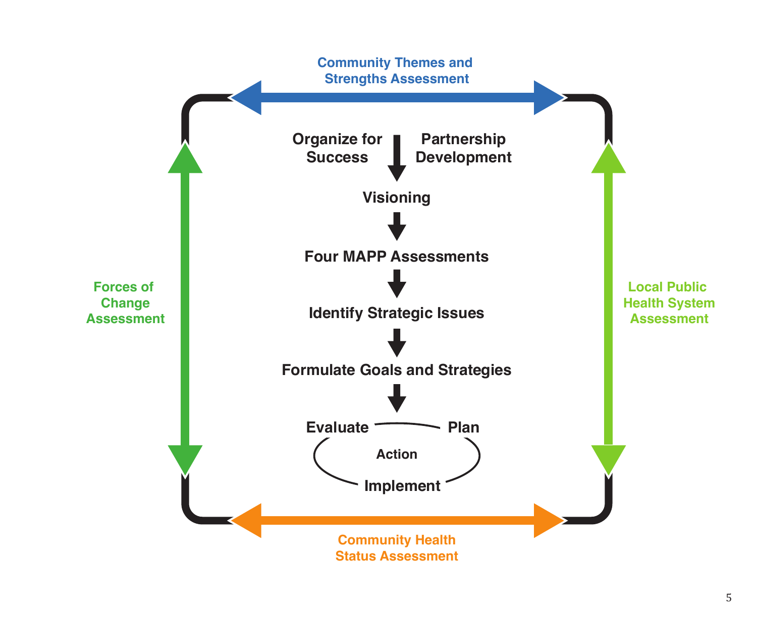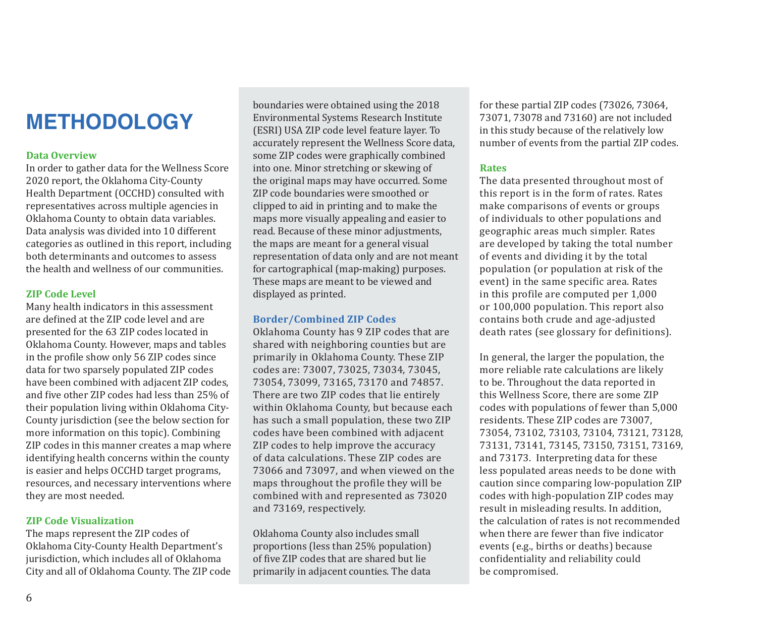## **METHODOLOGY**

### **Data Overview**

In order to gather data for the Wellness Score 2020 report, the Oklahoma City-County Health Department (OCCHD) consulted with representatives across multiple agencies in Oklahoma County to obtain data variables. Data analysis was divided into 10 different categories as outlined in this report, including both determinants and outcomes to assess the health and wellness of our communities.

### **ZIP Code Level**

Many health indicators in this assessment are defined at the ZIP code level and are presented for the 63 ZIP codes located in Oklahoma County. However, maps and tables in the profile show only 56 ZIP codes since data for two sparsely populated ZIP codes have been combined with adjacent ZIP codes, and five other ZIP codes had less than 25% of their population living within Oklahoma City-County jurisdiction (see the below section for more information on this topic). Combining ZIP codes in this manner creates a map where identifying health concerns within the county is easier and helps OCCHD target programs, resources, and necessary interventions where they are most needed.

#### **ZIP Code Visualization**

The maps represent the ZIP codes of Oklahoma City-County Health Department's jurisdiction, which includes all of Oklahoma City and all of Oklahoma County. The ZIP code

boundaries were obtained using the 2018 Environmental Systems Research Institute (ESRI) USA ZIP code level feature layer. To accurately represent the Wellness Score data, some ZIP codes were graphically combined into one. Minor stretching or skewing of the original maps may have occurred. Some ZIP code boundaries were smoothed or clipped to aid in printing and to make the maps more visually appealing and easier to read. Because of these minor adjustments, the maps are meant for a general visual representation of data only and are not meant for cartographical (map-making) purposes. These maps are meant to be viewed and displayed as printed.

### **Border/Combined ZIP Codes**

Oklahoma County has 9 ZIP codes that are shared with neighboring counties but are primarily in Oklahoma County. These ZIP codes are: 73007, 73025, 73034, 73045, 73054, 73099, 73165, 73170 and 74857. There are two ZIP codes that lie entirely within Oklahoma County, but because each has such a small population, these two ZIP codes have been combined with adjacent ZIP codes to help improve the accuracy of data calculations. These ZIP codes are 73066 and 73097, and when viewed on the maps throughout the profile they will be combined with and represented as 73020 and 73169, respectively.

Oklahoma County also includes small proportions (less than 25% population) of five ZIP codes that are shared but lie primarily in adjacent counties. The data

for these partial ZIP codes (73026, 73064, 73071, 73078 and 73160) are not included in this study because of the relatively low number of events from the partial ZIP codes.

### **Rates**

The data presented throughout most of this report is in the form of rates. Rates make comparisons of events or groups of individuals to other populations and geographic areas much simpler. Rates are developed by taking the total number of events and dividing it by the total population (or population at risk of the event) in the same specific area. Rates in this profile are computed per 1,000 or 100,000 population. This report also contains both crude and age-adjusted death rates (see glossary for definitions).

In general, the larger the population, the more reliable rate calculations are likely to be. Throughout the data reported in this Wellness Score, there are some ZIP codes with populations of fewer than 5,000 residents. These ZIP codes are 73007, 73054, 73102, 73103, 73104, 73121, 73128, 73131, 73141, 73145, 73150, 73151, 73169, and 73173. Interpreting data for these less populated areas needs to be done with caution since comparing low-population ZIP codes with high-population ZIP codes may result in misleading results. In addition, the calculation of rates is not recommended when there are fewer than five indicator events (e.g., births or deaths) because confidentiality and reliability could be compromised.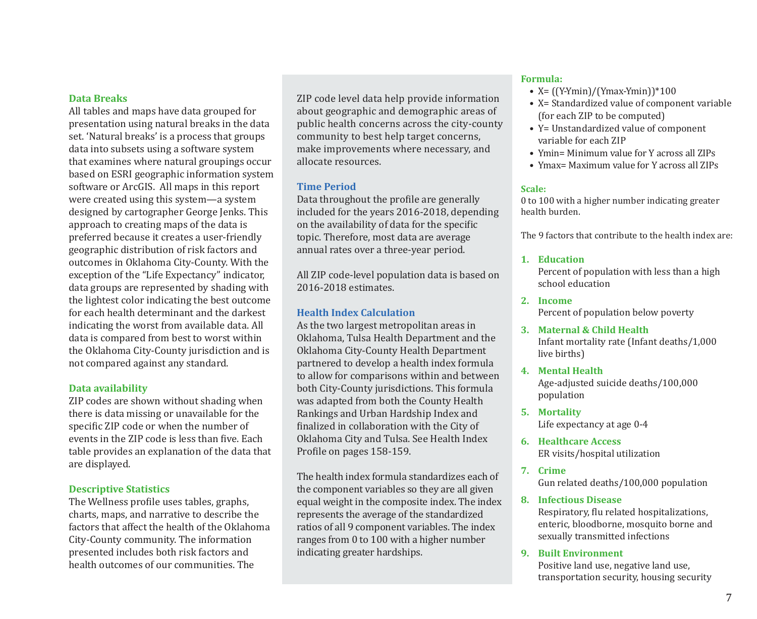### **Data Breaks**

All tables and maps have data grouped for presentation using natural breaks in the data set. 'Natural breaks' is a process that groups data into subsets using a software system that examines where natural groupings occur based on ESRI geographic information system software or ArcGIS. All maps in this report were created using this system—a system designed by cartographer George Jenks. This approach to creating maps of the data is preferred because it creates a user-friendly geographic distribution of risk factors and outcomes in Oklahoma City-County. With the exception of the "Life Expectancy" indicator, data groups are represented by shading with the lightest color indicating the best outcome for each health determinant and the darkest indicating the worst from available data. All data is compared from best to worst within the Oklahoma City-County jurisdiction and is not compared against any standard.

### **Data availability**

ZIP codes are shown without shading when there is data missing or unavailable for the specific ZIP code or when the number of events in the ZIP code is less than five. Each table provides an explanation of the data that are displayed.

### **Descriptive Statistics**

The Wellness profile uses tables, graphs, charts, maps, and narrative to describe the factors that affect the health of the Oklahoma City-County community. The information presented includes both risk factors and health outcomes of our communities. The

ZIP code level data help provide information about geographic and demographic areas of public health concerns across the city-county community to best help target concerns, make improvements where necessary, and allocate resources.

### **Time Period**

Data throughout the profile are generally included for the years 2016-2018, depending on the availability of data for the specific topic. Therefore, most data are average annual rates over a three-year period.

All ZIP code-level population data is based on 2016-2018 estimates.

### **Health Index Calculation**

As the two largest metropolitan areas in Oklahoma, Tulsa Health Department and the Oklahoma City-County Health Department partnered to develop a health index formula to allow for comparisons within and between both City-County jurisdictions. This formula was adapted from both the County Health Rankings and Urban Hardship Index and finalized in collaboration with the City of Oklahoma City and Tulsa. See Health Index Profile on pages 158-159.

The health index formula standardizes each of the component variables so they are all given equal weight in the composite index. The index represents the average of the standardized ratios of all 9 component variables. The index ranges from 0 to 100 with a higher number indicating greater hardships.

#### **Formula:**

- $X = \frac{Y Ymin}{Ymax Ymin}$  \*100
- X= Standardized value of component variable (for each ZIP to be computed)
- Y= Unstandardized value of component variable for each ZIP
- Ymin= Minimum value for Y across all ZIPs
- Ymax= Maximum value for Y across all ZIPs

### **Scale:**

0 to 100 with a higher number indicating greater health burden.

The 9 factors that contribute to the health index are:

#### **1. Education**

Percent of population with less than a high school education

- **2. Income** Percent of population below poverty
- **3. Maternal & Child Health** Infant mortality rate (Infant deaths/1,000 live births)
- **4. Mental Health**

Age-adjusted suicide deaths/100,000 population

- **5. Mortality** Life expectancy at age 0-4
- **6. Healthcare Access** ER visits/hospital utilization
- **7. Crime** Gun related deaths/100,000 population
- **8. Infectious Disease**

Respiratory, flu related hospitalizations, enteric, bloodborne, mosquito borne and sexually transmitted infections

**9. Built Environment**

Positive land use, negative land use, transportation security, housing security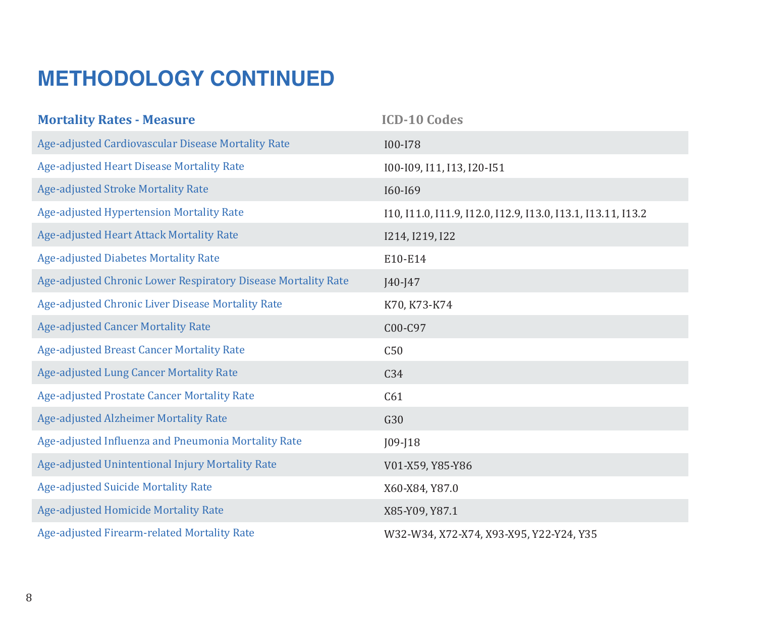## **METHODOLOGY CONTINUED**

| <b>Mortality Rates - Measure</b>                              | <b>ICD-10 Codes</b>                                          |
|---------------------------------------------------------------|--------------------------------------------------------------|
| Age-adjusted Cardiovascular Disease Mortality Rate            | <b>I00-I78</b>                                               |
| Age-adjusted Heart Disease Mortality Rate                     | 100-109, 111, 113, 120-151                                   |
| <b>Age-adjusted Stroke Mortality Rate</b>                     | I60-I69                                                      |
| Age-adjusted Hypertension Mortality Rate                      | 110, 111.0, 111.9, 112.0, 112.9, 113.0, 113.1, 113.11, 113.2 |
| Age-adjusted Heart Attack Mortality Rate                      | 1214, 1219, 122                                              |
| <b>Age-adjusted Diabetes Mortality Rate</b>                   | E10-E14                                                      |
| Age-adjusted Chronic Lower Respiratory Disease Mortality Rate | $J40 - J47$                                                  |
| Age-adjusted Chronic Liver Disease Mortality Rate             | K70, K73-K74                                                 |
| <b>Age-adjusted Cancer Mortality Rate</b>                     | C00-C97                                                      |
| <b>Age-adjusted Breast Cancer Mortality Rate</b>              | C50                                                          |
| Age-adjusted Lung Cancer Mortality Rate                       | C34                                                          |
| <b>Age-adjusted Prostate Cancer Mortality Rate</b>            | C61                                                          |
| <b>Age-adjusted Alzheimer Mortality Rate</b>                  | G30                                                          |
| Age-adjusted Influenza and Pneumonia Mortality Rate           | $J09 - J18$                                                  |
| Age-adjusted Unintentional Injury Mortality Rate              | V01-X59, Y85-Y86                                             |
| <b>Age-adjusted Suicide Mortality Rate</b>                    | X60-X84, Y87.0                                               |
| <b>Age-adjusted Homicide Mortality Rate</b>                   | X85-Y09, Y87.1                                               |
| Age-adjusted Firearm-related Mortality Rate                   | W32-W34, X72-X74, X93-X95, Y22-Y24, Y35                      |